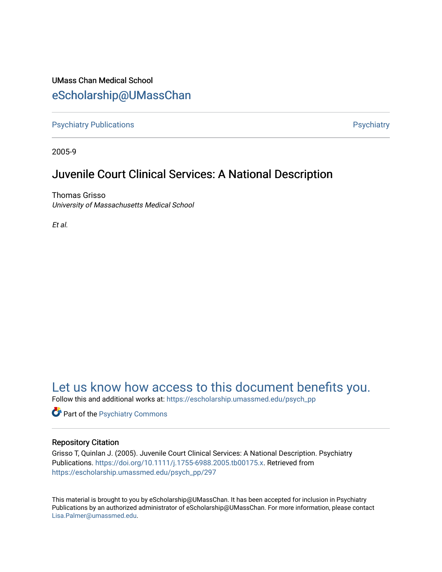# UMass Chan Medical School [eScholarship@UMassChan](https://escholarship.umassmed.edu/)

[Psychiatry Publications](https://escholarship.umassmed.edu/psych_pp) **Provides** [Psychiatry](https://escholarship.umassmed.edu/psychiatry) Psychiatry

2005-9

# Juvenile Court Clinical Services: A National Description

Thomas Grisso University of Massachusetts Medical School

Et al.

# [Let us know how access to this document benefits you.](https://arcsapps.umassmed.edu/redcap/surveys/?s=XWRHNF9EJE)

Follow this and additional works at: [https://escholarship.umassmed.edu/psych\\_pp](https://escholarship.umassmed.edu/psych_pp?utm_source=escholarship.umassmed.edu%2Fpsych_pp%2F297&utm_medium=PDF&utm_campaign=PDFCoverPages) 

**Part of the Psychiatry Commons** 

### Repository Citation

Grisso T, Quinlan J. (2005). Juvenile Court Clinical Services: A National Description. Psychiatry Publications.<https://doi.org/10.1111/j.1755-6988.2005.tb00175.x>. Retrieved from [https://escholarship.umassmed.edu/psych\\_pp/297](https://escholarship.umassmed.edu/psych_pp/297?utm_source=escholarship.umassmed.edu%2Fpsych_pp%2F297&utm_medium=PDF&utm_campaign=PDFCoverPages) 

This material is brought to you by eScholarship@UMassChan. It has been accepted for inclusion in Psychiatry Publications by an authorized administrator of eScholarship@UMassChan. For more information, please contact [Lisa.Palmer@umassmed.edu](mailto:Lisa.Palmer@umassmed.edu).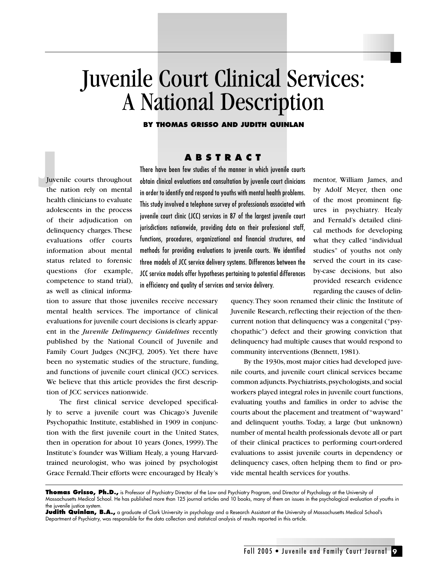# Juvenile Court Clinical Services: A National Description

#### **BY THOMAS GRISSO AND JUDITH QUINLAN**

## **A B S T R A C T**

**J**Juvenile courts throughout the nation rely on mental health clinicians to evaluate adolescents in the process of their adjudication on delinquency charges. These evaluations offer courts information about mental status related to forensic questions (for example, competence to stand trial), as well as clinical informaThere have been few studies of the manner in which juvenile courts obtain clinical evaluations and consultation by juvenile court clinicians in order to identify and respond to youths with mental health problems. This study involved a telephone survey of professionals associated with juvenile court clinic (JCC) services in 87 of the largest juvenile court jurisdictions nationwide, providing data on their professional staff, functions, procedures, organizational and financial structures, and methods for providing evaluations to juvenile courts. We identified three models of JCC service delivery systems. Differences between the JCC service models offer hypotheses pertaining to potential differences in efficiency and quality of services and service delivery.

tion to assure that those juveniles receive necessary mental health services. The importance of clinical evaluations for juvenile court decisions is clearly apparent in the *Juvenile Delinquency Guidelines* recently published by the National Council of Juvenile and Family Court Judges (NCJFCJ, 2005). Yet there have been no systematic studies of the structure, funding, and functions of juvenile court clinical (JCC) services. We believe that this article provides the first description of JCC services nationwide.

The first clinical service developed specifically to serve a juvenile court was Chicago's Juvenile Psychopathic Institute, established in 1909 in conjunction with the first juvenile court in the United States, then in operation for about 10 years (Jones, 1999). The Institute's founder was William Healy, a young Harvardtrained neurologist, who was joined by psychologist Grace Fernald. Their efforts were encouraged by Healy's mentor, William James, and by Adolf Meyer, then one of the most prominent figures in psychiatry. Healy and Fernald's detailed clinical methods for developing what they called "individual studies" of youths not only served the court in its caseby-case decisions, but also provided research evidence regarding the causes of delin-

quency. They soon renamed their clinic the Institute of Juvenile Research, reflecting their rejection of the thencurrent notion that delinquency was a congenital ("psychopathic") defect and their growing conviction that delinquency had multiple causes that would respond to community interventions (Bennett, 1981).

By the 1930s, most major cities had developed juvenile courts, and juvenile court clinical services became common adjuncts. Psychiatrists, psychologists, and social workers played integral roles in juvenile court functions, evaluating youths and families in order to advise the courts about the placement and treatment of "wayward" and delinquent youths. Today, a large (but unknown) number of mental health professionals devote all or part of their clinical practices to performing court-ordered evaluations to assist juvenile courts in dependency or delinquency cases, often helping them to find or provide mental health services for youths.

**Thomas Grisso, Ph.D.,** is Professor of Psychiatry Director of the Law and Psychiatry Program, and Director of Psychology at the University of Massachusetts Medical School. He has published more than 125 journal articles and 10 books, many of them on issues in the psychological evaluation of youths in the juvenile justice system.

**Judith Quinlan, B.A.,** a graduate of Clark University in psychology and a Research Assistant at the University of Massachusetts Medical School's Department of Psychiatry, was responsible for the data collection and statistical analysis of results reported in this article.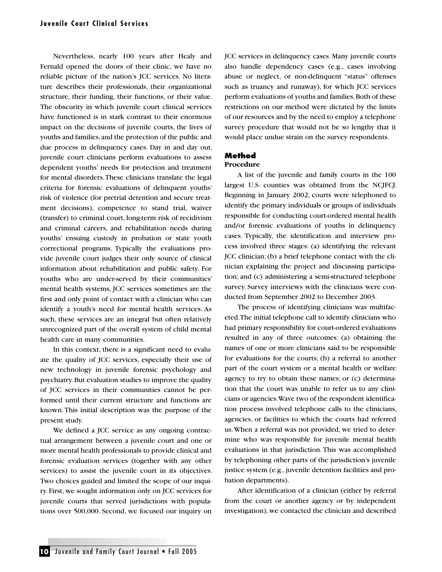Nevertheless, nearly 100 years after Healy and Fernald opened the doors of their clinic, we have no reliable picture of the nation's JCC services. No literature describes their professionals, their organizational structure, their funding, their functions, or their value. The obscurity in which juvenile court clinical services have functioned is in stark contrast to their enormous impact on the decisions of juvenile courts, the lives of youths and families, and the protection of the public and due process in delinquency cases. Day in and day out, juvenile court clinicians perform evaluations to assess dependent youths' needs for protection and treatment for mental disorders. These clinicians translate the legal criteria for forensic evaluations of delinquent youths' risk of violence (for pretrial detention and secure treatment decisions), competence to stand trial, waiver (transfer) to criminal court, long-term risk of recidivism and criminal careers, and rehabilitation needs during youths' ensuing custody in probation or state youth correctional programs. Typically the evaluations provide juvenile court judges their only source of clinical information about rehabilitation and public safety. For youths who are under-served by their communities' mental health systems, JCC services sometimes are the first and only point of contact with a clinician who can identify a youth's need for mental health services. As such, these services are an integral but often relatively unrecognized part of the overall system of child mental health care in many communities.

In this context, there is a significant need to evaluate the quality of JCC services, especially their use of new technology in juvenile forensic psychology and psychiatry. But evaluation studies to improve the quality of JCC services in their communities cannot be performed until their current structure and functions are known. This initial description was the purpose of the present study.

We defined a JCC service as any ongoing contractual arrangement between a juvenile court and one or more mental health professionals to provide clinical and forensic evaluation services (together with any other services) to assist the juvenile court in its objectives. Two choices guided and limited the scope of our inquiry. First, we sought information only on JCC services for juvenile courts that served jurisdictions with populations over 500,000. Second, we focused our inquiry on JCC services in delinquency cases. Many juvenile courts also handle dependency cases (e.g., cases involving abuse or neglect, or non-delinquent "status" offenses such as truancy and runaway), for which JCC services perform evaluations of youths and families. Both of these restrictions on our method were dictated by the limits of our resources and by the need to employ a telephone survey procedure that would not be so lengthy that it would place undue strain on the survey respondents.

## **Method**

#### **Procedure**

A list of the juvenile and family courts in the 100 largest U.S. counties was obtained from the NCJFCJ. Beginning in January 2002, courts were telephoned to identify the primary individuals or groups of individuals responsible for conducting court-ordered mental health and/or forensic evaluations of youths in delinquency cases. Typically, the identification and interview process involved three stages: (a) identifying the relevant JCC clinician; (b) a brief telephone contact with the clinician explaining the project and discussing participation; and (c) administering a semi-structured telephone survey. Survey interviews with the clinicians were conducted from September 2002 to December 2003.

The process of identifying clinicians was multifaceted. The initial telephone call to identify clinicians who had primary responsibility for court-ordered evaluations resulted in any of three outcomes: (a) obtaining the names of one or more clinicians said to be responsible for evaluations for the courts; (b) a referral to another part of the court system or a mental health or welfare agency to try to obtain these names; or (c) determination that the court was unable to refer us to any clinicians or agencies. Wave two of the respondent identification process involved telephone calls to the clinicians, agencies, or facilities to which the courts had referred us. When a referral was not provided, we tried to determine who was responsible for juvenile mental health evaluations in that jurisdiction. This was accomplished by telephoning other parts of the jurisdiction's juvenile justice system (e.g., juvenile detention facilities and probation departments).

After identification of a clinician (either by referral from the court or another agency or by independent investigation), we contacted the clinician and described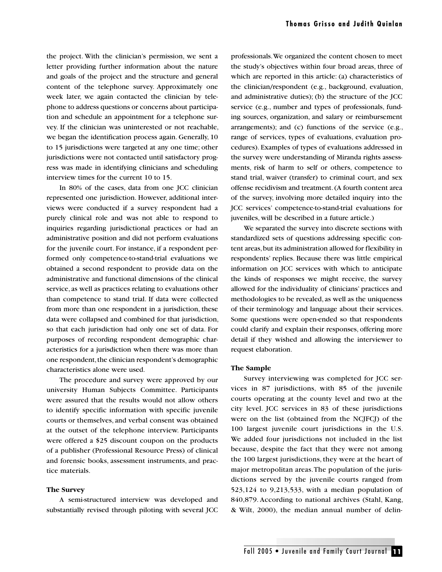the project. With the clinician's permission, we sent a letter providing further information about the nature and goals of the project and the structure and general content of the telephone survey. Approximately one week later, we again contacted the clinician by telephone to address questions or concerns about participation and schedule an appointment for a telephone survey. If the clinician was uninterested or not reachable, we began the identification process again. Generally, 10 to 15 jurisdictions were targeted at any one time; other jurisdictions were not contacted until satisfactory progress was made in identifying clinicians and scheduling interview times for the current 10 to 15.

In 80% of the cases, data from one JCC clinician represented one jurisdiction. However, additional interviews were conducted if a survey respondent had a purely clinical role and was not able to respond to inquiries regarding jurisdictional practices or had an administrative position and did not perform evaluations for the juvenile court. For instance, if a respondent performed only competence-to-stand-trial evaluations we obtained a second respondent to provide data on the administrative and functional dimensions of the clinical service, as well as practices relating to evaluations other than competence to stand trial. If data were collected from more than one respondent in a jurisdiction, these data were collapsed and combined for that jurisdiction, so that each jurisdiction had only one set of data. For purposes of recording respondent demographic characteristics for a jurisdiction when there was more than one respondent, the clinician respondent's demographic characteristics alone were used.

The procedure and survey were approved by our university Human Subjects Committee. Participants were assured that the results would not allow others to identify specific information with specific juvenile courts or themselves, and verbal consent was obtained at the outset of the telephone interview. Participants were offered a \$25 discount coupon on the products of a publisher (Professional Resource Press) of clinical and forensic books, assessment instruments, and practice materials.

#### **The Survey**

A semi-structured interview was developed and substantially revised through piloting with several JCC professionals. We organized the content chosen to meet the study's objectives within four broad areas, three of which are reported in this article: (a) characteristics of the clinician/respondent (e.g., background, evaluation, and administrative duties); (b) the structure of the JCC service (e.g., number and types of professionals, funding sources, organization, and salary or reimbursement arrangements); and (c) functions of the service (e.g., range of services, types of evaluations, evaluation procedures). Examples of types of evaluations addressed in the survey were understanding of Miranda rights assessments, risk of harm to self or others, competence to stand trial, waiver (transfer) to criminal court, and sex offense recidivism and treatment. (A fourth content area of the survey, involving more detailed inquiry into the JCC services' competence-to-stand-trial evaluations for juveniles, will be described in a future article.)

We separated the survey into discrete sections with standardized sets of questions addressing specific content areas, but its administration allowed for flexibility in respondents' replies. Because there was little empirical information on JCC services with which to anticipate the kinds of responses we might receive, the survey allowed for the individuality of clinicians' practices and methodologies to be revealed, as well as the uniqueness of their terminology and language about their services. Some questions were open-ended so that respondents could clarify and explain their responses, offering more detail if they wished and allowing the interviewer to request elaboration.

#### **The Sample**

Survey interviewing was completed for JCC services in 87 jurisdictions, with 85 of the juvenile courts operating at the county level and two at the city level. JCC services in 83 of these jurisdictions were on the list (obtained from the NCJFCJ) of the 100 largest juvenile court jurisdictions in the U.S. We added four jurisdictions not included in the list because, despite the fact that they were not among the 100 largest jurisdictions, they were at the heart of major metropolitan areas. The population of the jurisdictions served by the juvenile courts ranged from 523,124 to 9,213,533, with a median population of 840,879. According to national archives (Stahl, Kang, & Wilt, 2000), the median annual number of delin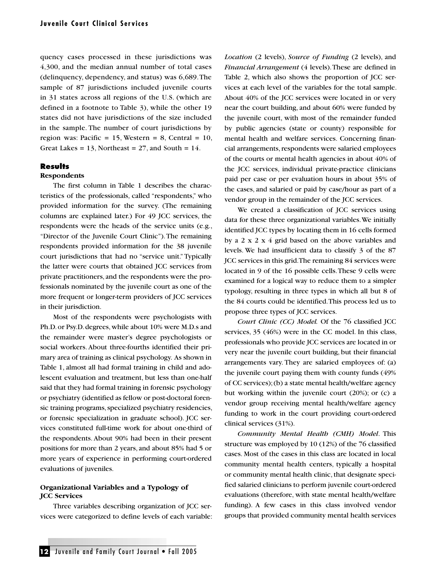quency cases processed in these jurisdictions was 4,300, and the median annual number of total cases (delinquency, dependency, and status) was 6,689. The sample of 87 jurisdictions included juvenile courts in 31 states across all regions of the U.S. (which are defined in a footnote to Table 3), while the other 19 states did not have jurisdictions of the size included in the sample. The number of court jurisdictions by region was: Pacific = 15, Western = 8, Central = 10, Great Lakes =  $13$ , Northeast =  $27$ , and South =  $14$ .

# **Results**

#### **Respondents**

The first column in Table 1 describes the characteristics of the professionals, called "respondents," who provided information for the survey. (The remaining columns are explained later.) For 49 JCC services, the respondents were the heads of the service units (e.g., "Director of the Juvenile Court Clinic"). The remaining respondents provided information for the 38 juvenile court jurisdictions that had no "service unit." Typically the latter were courts that obtained JCC services from private practitioners, and the respondents were the professionals nominated by the juvenile court as one of the more frequent or longer-term providers of JCC services in their jurisdiction.

Most of the respondents were psychologists with Ph.D. or Psy.D. degrees, while about 10% were M.D.s and the remainder were master's degree psychologists or social workers. About three-fourths identified their primary area of training as clinical psychology. As shown in Table 1, almost all had formal training in child and adolescent evaluation and treatment, but less than one-half said that they had formal training in forensic psychology or psychiatry (identified as fellow or post-doctoral forensic training programs, specialized psychiatry residencies, or forensic specialization in graduate school). JCC services constituted full-time work for about one-third of the respondents. About 90% had been in their present positions for more than 2 years, and about 85% had 5 or more years of experience in performing court-ordered evaluations of juveniles.

#### **Organizational Variables and a Typology of JCC Services**

Three variables describing organization of JCC services were categorized to define levels of each variable:

*Location* (2 levels), *Source of Funding* (2 levels), and *Financial Arrangement* (4 levels). These are defined in Table 2, which also shows the proportion of JCC services at each level of the variables for the total sample. About 40% of the JCC services were located in or very near the court building, and about 60% were funded by the juvenile court, with most of the remainder funded by public agencies (state or county) responsible for mental health and welfare services. Concerning financial arrangements, respondents were salaried employees of the courts or mental health agencies in about 40% of the JCC services, individual private-practice clinicians paid per case or per evaluation hours in about 35% of the cases, and salaried or paid by case/hour as part of a vendor group in the remainder of the JCC services.

We created a classification of JCC services using data for these three organizational variables. We initially identified JCC types by locating them in 16 cells formed by a 2 x 2 x 4 grid based on the above variables and levels. We had insufficient data to classify 3 of the 87 JCC services in this grid. The remaining 84 services were located in 9 of the 16 possible cells. These 9 cells were examined for a logical way to reduce them to a simpler typology, resulting in three types in which all but 8 of the 84 courts could be identified. This process led us to propose three types of JCC services.

*Court Clinic (CC) Model.* Of the 76 classified JCC services, 35 (46%) were in the CC model. In this class, professionals who provide JCC services are located in or very near the juvenile court building, but their financial arrangements vary. They are salaried employees of: (a) the juvenile court paying them with county funds (49% of CC services); (b) a state mental health/welfare agency but working within the juvenile court (20%); or (c) a vendor group receiving mental health/welfare agency funding to work in the court providing court-ordered clinical services (31%).

*Community Mental Health (CMH) Model*. This structure was employed by 10 (12%) of the 76 classified cases. Most of the cases in this class are located in local community mental health centers, typically a hospital or community mental health clinic, that designate specified salaried clinicians to perform juvenile court-ordered evaluations (therefore, with state mental health/welfare funding). A few cases in this class involved vendor groups that provided community mental health services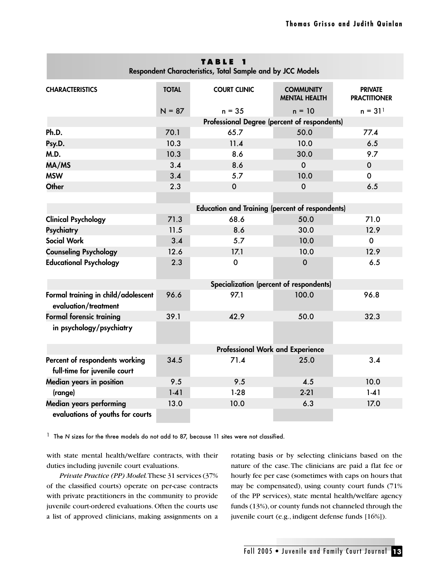| <b>TABLE</b><br>Respondent Characteristics, Total Sample and by JCC Models |                                              |                                                        |                                          |                                       |  |  |  |  |
|----------------------------------------------------------------------------|----------------------------------------------|--------------------------------------------------------|------------------------------------------|---------------------------------------|--|--|--|--|
| <b>CHARACTERISTICS</b>                                                     | <b>TOTAL</b>                                 | <b>COURT CLINIC</b>                                    | <b>COMMUNITY</b><br><b>MENTAL HEALTH</b> | <b>PRIVATE</b><br><b>PRACTITIONER</b> |  |  |  |  |
|                                                                            | $N = 87$                                     | $n = 35$                                               | $n = 10$                                 | $n = 311$                             |  |  |  |  |
|                                                                            | Professional Degree (percent of respondents) |                                                        |                                          |                                       |  |  |  |  |
| Ph.D.                                                                      | 70.1                                         | 65.7                                                   | 50.0                                     | 77.4                                  |  |  |  |  |
| Psy.D.                                                                     | 10.3                                         | 11.4                                                   | 10.0                                     | 6.5                                   |  |  |  |  |
| M.D.                                                                       | 10.3                                         | 8.6                                                    | 30.0                                     | 9.7                                   |  |  |  |  |
| MA/MS                                                                      | 3.4                                          | 8.6                                                    | $\mathbf 0$                              | $\mathbf 0$                           |  |  |  |  |
| <b>MSW</b>                                                                 | 3.4                                          | 5.7                                                    | 10.0                                     | $\mathbf 0$                           |  |  |  |  |
| Other                                                                      | 2.3                                          | 0                                                      | 0                                        | 6.5                                   |  |  |  |  |
|                                                                            |                                              |                                                        |                                          |                                       |  |  |  |  |
|                                                                            |                                              | <b>Education and Training (percent of respondents)</b> |                                          |                                       |  |  |  |  |
| <b>Clinical Psychology</b>                                                 | 71.3                                         | 68.6                                                   | 50.0                                     | 71.0                                  |  |  |  |  |
| Psychiatry                                                                 | 11.5                                         | 8.6                                                    | 30.0                                     | 12.9                                  |  |  |  |  |
| <b>Social Work</b>                                                         | 3.4                                          | 5.7                                                    | 10.0                                     | $\mathbf 0$                           |  |  |  |  |
| <b>Counseling Psychology</b>                                               | 12.6                                         | 17.1                                                   | 10.0                                     | 12.9                                  |  |  |  |  |
| <b>Educational Psychology</b>                                              | 2.3                                          | $\mathbf 0$                                            | $\mathbf 0$                              | 6.5                                   |  |  |  |  |
|                                                                            | Specialization (percent of respondents)      |                                                        |                                          |                                       |  |  |  |  |
| Formal training in child/adolescent<br>evaluation/treatment                | 96.6                                         | 97.1                                                   | 100.0                                    | 96.8                                  |  |  |  |  |
| <b>Formal forensic training</b>                                            | 39.1                                         | 42.9                                                   | 50.0                                     | 32.3                                  |  |  |  |  |
| in psychology/psychiatry                                                   |                                              |                                                        |                                          |                                       |  |  |  |  |
|                                                                            |                                              | <b>Professional Work and Experience</b>                |                                          |                                       |  |  |  |  |
| Percent of respondents working<br>full-time for juvenile court             | 34.5                                         | 71.4                                                   | 25.0                                     | 3.4                                   |  |  |  |  |
| Median years in position                                                   | 9.5                                          | 9.5                                                    | 4.5                                      | 10.0                                  |  |  |  |  |
| (range)                                                                    | $1-41$                                       | $1-28$                                                 | $2-21$                                   | $1-41$                                |  |  |  |  |
| Median years performing                                                    | 13.0                                         | 10.0                                                   | 6.3                                      | 17.0                                  |  |  |  |  |
| evaluations of youths for courts                                           |                                              |                                                        |                                          |                                       |  |  |  |  |

<sup>1</sup> The *N* sizes for the three models do not add to 87, because 11 sites were not classified.

with state mental health/welfare contracts, with their duties including juvenile court evaluations.

*Private Practice (PP) Model.* These 31 services (37% of the classified courts) operate on per-case contracts with private practitioners in the community to provide juvenile court-ordered evaluations. Often the courts use a list of approved clinicians, making assignments on a

rotating basis or by selecting clinicians based on the nature of the case. The clinicians are paid a flat fee or hourly fee per case (sometimes with caps on hours that may be compensated), using county court funds (71% of the PP services), state mental health/welfare agency funds (13%), or county funds not channeled through the juvenile court (e.g., indigent defense funds [16%]).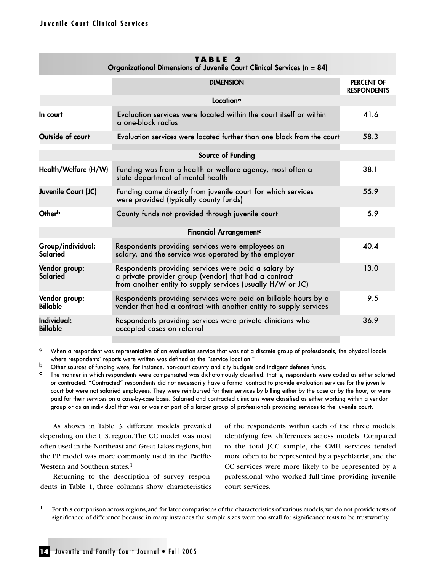| TABLE 2<br>Organizational Dimensions of Juvenile Court Clinical Services (n = 84) |                                                                                                                                                                             |                                         |  |  |  |  |
|-----------------------------------------------------------------------------------|-----------------------------------------------------------------------------------------------------------------------------------------------------------------------------|-----------------------------------------|--|--|--|--|
|                                                                                   | <b>DIMENSION</b>                                                                                                                                                            | <b>PERCENT OF</b><br><b>RESPONDENTS</b> |  |  |  |  |
|                                                                                   | Locationa                                                                                                                                                                   |                                         |  |  |  |  |
| In court                                                                          | Evaluation services were located within the court itself or within<br>a one-block radius                                                                                    | 41.6                                    |  |  |  |  |
| Outside of court                                                                  | Evaluation services were located further than one block from the court                                                                                                      | 58.3                                    |  |  |  |  |
|                                                                                   | <b>Source of Funding</b>                                                                                                                                                    |                                         |  |  |  |  |
| Health/Welfare (H/W)                                                              | Funding was from a health or welfare agency, most often a<br>state department of mental health                                                                              | 38.1                                    |  |  |  |  |
| Juvenile Court (JC)                                                               | Funding came directly from juvenile court for which services<br>were provided (typically county funds)                                                                      | 55.9                                    |  |  |  |  |
| Otherb                                                                            | County funds not provided through juvenile court                                                                                                                            | 5.9                                     |  |  |  |  |
|                                                                                   | <b>Financial Arrangements</b>                                                                                                                                               |                                         |  |  |  |  |
| Group/individual:<br>Salaried                                                     | Respondents providing services were employees on<br>salary, and the service was operated by the employer                                                                    | 40.4                                    |  |  |  |  |
| Vendor group:<br>Salaried                                                         | Respondents providing services were paid a salary by<br>a private provider group (vendor) that had a contract<br>from another entity to supply services (usually H/W or JC) | 13.0                                    |  |  |  |  |
| Vendor group:<br><b>Billable</b>                                                  | Respondents providing services were paid on billable hours by a<br>vendor that had a contract with another entity to supply services                                        | 9.5                                     |  |  |  |  |
| <b>Individual:</b><br><b>Billable</b>                                             | Respondents providing services were private clinicians who<br>accepted cases on referral                                                                                    | 36.9                                    |  |  |  |  |

a When a respondent was representative of an evaluation service that was not a discrete group of professionals, the physical locale where respondents' reports were written was defined as the "service location."

b Other sources of funding were, for instance, non-court county and city budgets and indigent defense funds.

c The manner in which respondents were compensated was dichotomously classified: that is, respondents were coded as either salaried or contracted. "Contracted" respondents did not necessarily have a formal contract to provide evaluation services for the juvenile court but were not salaried employees. They were reimbursed for their services by billing either by the case or by the hour, or were paid for their services on a case-by-case basis. Salaried and contracted clinicians were classified as either working within a vendor group or as an individual that was or was not part of a larger group of professionals providing services to the juvenile court.

As shown in Table 3, different models prevailed depending on the U.S. region. The CC model was most often used in the Northeast and Great Lakes regions, but the PP model was more commonly used in the Pacific-Western and Southern states.<sup>1</sup>

Returning to the description of survey respondents in Table 1, three columns show characteristics of the respondents within each of the three models, identifying few differences across models. Compared to the total JCC sample, the CMH services tended more often to be represented by a psychiatrist, and the CC services were more likely to be represented by a professional who worked full-time providing juvenile court services.

 $1$  For this comparison across regions, and for later comparisons of the characteristics of various models, we do not provide tests of significance of difference because in many instances the sample sizes were too small for significance tests to be trustworthy.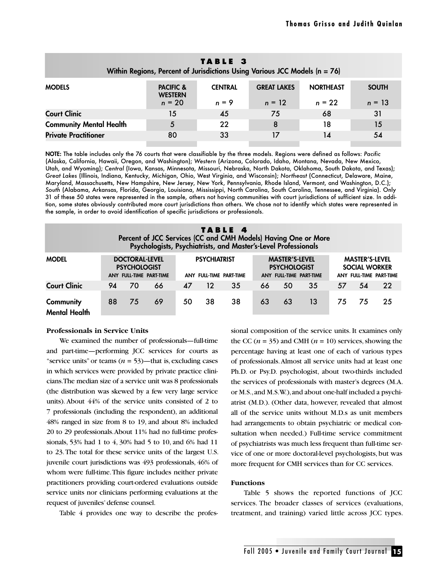| TABLE 3<br>Within Regions, Percent of Jurisdictions Using Various JCC Models ( $n = 76$ ) |                                        |                |                    |                  |              |  |  |  |
|-------------------------------------------------------------------------------------------|----------------------------------------|----------------|--------------------|------------------|--------------|--|--|--|
| <b>MODELS</b>                                                                             | <b>PACIFIC &amp;</b><br><b>WESTERN</b> | <b>CENTRAL</b> | <b>GREAT LAKES</b> | <b>NORTHEAST</b> | <b>SOUTH</b> |  |  |  |
|                                                                                           | $n = 20$                               | $n = 9$        | $n = 12$           | $n = 22$         | $n = 13$     |  |  |  |
| <b>Court Clinic</b>                                                                       | 15                                     | 45             | 75                 | 68               | 31           |  |  |  |
| <b>Community Mental Health</b>                                                            | 5                                      | 22             | 8                  | 18               | 15           |  |  |  |
| <b>Private Practitioner</b>                                                               | 80                                     | 33             | 17                 | 14               | 54           |  |  |  |

NOTE: The table includes only the 76 courts that were classifiable by the three models. Regions were defined as follows: *Pacific*  (Alaska, California, Hawaii, Oregon, and Washington); *Western* (Arizona, Colorado, Idaho, Montana, Nevada, New Mexico, Utah, and Wyoming); *Central* (Iowa, Kansas, Minnesota, Missouri, Nebraska, North Dakota, Oklahoma, South Dakota, and Texas); *Great Lakes* (Illinois, Indiana, Kentucky, Michigan, Ohio, West Virginia, and Wisconsin); *Northeast* (Connecticut, Delaware, Maine, Maryland, Massachusetts, New Hampshire, New Jersey, New York, Pennsylvania, Rhode Island, Vermont, and Washington, D.C.); *South* (Alabama, Arkansas, Florida, Georgia, Louisiana, Mississippi, North Carolina, South Carolina, Tennessee, and Virginia). Only 31 of these 50 states were represented in the sample, others not having communities with court jurisdictions of sufficient size. In addition, some states obviously contributed more court jurisdictions than others. We chose not to identify which states were represented in the sample, in order to avoid identification of specific jurisdictions or professionals.

| TABLE 4<br>Percent of JCC Services (CC and CMH Models) Having One or More<br>Psychologists, Psychiatrists, and Master's-Level Professionals |    |                                              |                         |    |                     |                         |    |                                                                         |    |    |                                               |                         |
|---------------------------------------------------------------------------------------------------------------------------------------------|----|----------------------------------------------|-------------------------|----|---------------------|-------------------------|----|-------------------------------------------------------------------------|----|----|-----------------------------------------------|-------------------------|
| <b>MODEL</b>                                                                                                                                |    | <b>DOCTORAL-LEVEL</b><br><b>PSYCHOLOGIST</b> | ANY FULL-TIME PART-TIME |    | <b>PSYCHIATRIST</b> | ANY FULL-TIME PART-TIME |    | <b>MASTER'S-LEVEL</b><br><b>PSYCHOLOGIST</b><br>ANY FULL-TIME PART-TIME |    |    | <b>MASTER'S-LEVEL</b><br><b>SOCIAL WORKER</b> | ANY FULL-TIME PART-TIME |
| <b>Court Clinic</b>                                                                                                                         | 94 | 70                                           | 66                      | 47 | $12 \,$             | 35                      | 66 | 50                                                                      | 35 | 57 | 54                                            | 22                      |
| Community<br><b>Mental Health</b>                                                                                                           | 88 | 75                                           | 69                      | 50 | 38                  | 38                      | 63 | 63                                                                      | 13 | 75 | 75                                            | 25                      |

#### **Professionals in Service Units**

We examined the number of professionals—full-time and part-time—performing JCC services for courts as "service units" or teams  $(n = 53)$ —that is, excluding cases in which services were provided by private practice clinicians. The median size of a service unit was 8 professionals (the distribution was skewed by a few very large service units). About 44% of the service units consisted of 2 to 7 professionals (including the respondent), an additional 48% ranged in size from 8 to 19, and about 8% included 20 to 29 professionals. About 11% had no full-time professionals, 53% had 1 to 4, 30% had 5 to 10, and 6% had 11 to 23. The total for these service units of the largest U.S. juvenile court jurisdictions was 493 professionals, 46% of whom were full-time. This figure includes neither private practitioners providing court-ordered evaluations outside service units nor clinicians performing evaluations at the request of juveniles' defense counsel.

Table 4 provides one way to describe the profes-

sional composition of the service units. It examines only the CC  $(n = 35)$  and CMH  $(n = 10)$  services, showing the percentage having at least one of each of various types of professionals. Almost all service units had at least one Ph.D. or Psy.D. psychologist, about two-thirds included the services of professionals with master's degrees (M.A. or M.S., and M.S.W.), and about one-half included a psychiatrist (M.D.). (Other data, however, revealed that almost all of the service units without M.D.s as unit members had arrangements to obtain psychiatric or medical consultation when needed.) Full-time service commitment of psychiatrists was much less frequent than full-time service of one or more doctoral-level psychologists, but was more frequent for CMH services than for CC services.

#### **Functions**

Table 5 shows the reported functions of JCC services. The broader classes of services (evaluations, treatment, and training) varied little across JCC types.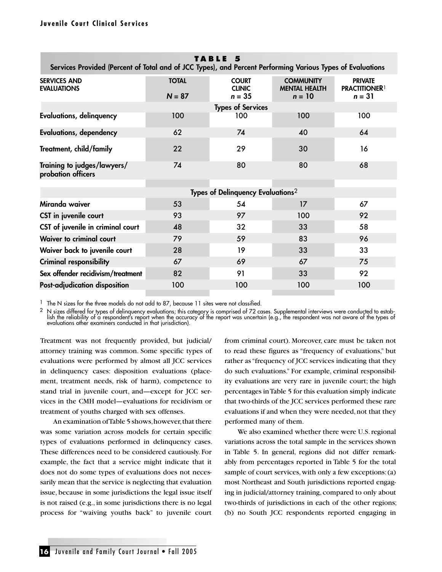| TABLE<br>- 5<br>Services Provided (Percent of Total and of JCC Types), and Percent Performing Various Types of Evaluations |                          |                                           |                                                      |                                                    |  |  |  |  |
|----------------------------------------------------------------------------------------------------------------------------|--------------------------|-------------------------------------------|------------------------------------------------------|----------------------------------------------------|--|--|--|--|
| <b>SERVICES AND</b><br><b>EVALUATIONS</b>                                                                                  | <b>TOTAL</b><br>$N = 87$ | <b>COURT</b><br><b>CLINIC</b><br>$n = 35$ | <b>COMMUNITY</b><br><b>MENTAL HEALTH</b><br>$n = 10$ | <b>PRIVATE</b><br><b>PRACTITIONER1</b><br>$n = 31$ |  |  |  |  |
|                                                                                                                            |                          | <b>Types of Services</b>                  |                                                      |                                                    |  |  |  |  |
| <b>Evaluations, delinguency</b>                                                                                            | 100                      | 100                                       | 100                                                  | 100                                                |  |  |  |  |
| <b>Evaluations, dependency</b>                                                                                             | 62                       | 74                                        | 40                                                   | 64                                                 |  |  |  |  |
| Treatment, child/family                                                                                                    | 22                       | 29                                        | 30                                                   | 16                                                 |  |  |  |  |
| Training to judges/lawyers/<br>probation officers                                                                          | 74                       | 80                                        | 80                                                   | 68                                                 |  |  |  |  |
|                                                                                                                            |                          |                                           |                                                      |                                                    |  |  |  |  |

|                                   | Types of Delinquency Evaluations <sup>2</sup> |     |     |     |  |  |  |  |
|-----------------------------------|-----------------------------------------------|-----|-----|-----|--|--|--|--|
| Miranda waiver                    | 53                                            | 54  | 17  | 67  |  |  |  |  |
| CST in juvenile court             | 93                                            | 97  | 100 | 92  |  |  |  |  |
| CST of juvenile in criminal court | 48                                            | 32  | 33  | 58  |  |  |  |  |
| <b>Waiver to criminal court</b>   | 79                                            | 59  | 83  | 96  |  |  |  |  |
| Waiver back to juvenile court     | 28                                            | 19  | 33  | 33  |  |  |  |  |
| <b>Criminal responsibility</b>    | 67                                            | 69  | 67  | 75  |  |  |  |  |
| Sex offender recidivism/treatment | 82                                            | 91  | 33  | 92  |  |  |  |  |
| Post-adjudication disposition     | 100                                           | 100 | 100 | 100 |  |  |  |  |

The N sizes for the three models do not add to 87, because 11 sites were not classified.

 $2\,$  N sizes differed for types of delinquency evaluations; this category is comprised of 72 cases. Supplemental interviews were conducted to establish the reliability of a respondent's report when the accuracy of the report was uncertain (e.g., the respondent was not aware of the types of evaluations other examiners conducted in that jurisdiction).

Treatment was not frequently provided, but judicial/ attorney training was common. Some specific types of evaluations were performed by almost all JCC services in delinquency cases: disposition evaluations (placement, treatment needs, risk of harm), competence to stand trial in juvenile court, and—except for JCC services in the CMH model—evaluations for recidivism or treatment of youths charged with sex offenses.

An examination of Table 5 shows, however, that there was some variation across models for certain specific types of evaluations performed in delinquency cases. These differences need to be considered cautiously. For example, the fact that a service might indicate that it does not do some types of evaluations does not necessarily mean that the service is neglecting that evaluation issue, because in some jurisdictions the legal issue itself is not raised (e.g., in some jurisdictions there is no legal process for "waiving youths back" to juvenile court

from criminal court). Moreover, care must be taken not to read these figures as "frequency of evaluations," but rather as "frequency of JCC services indicating that they do such evaluations." For example, criminal responsibility evaluations are very rare in juvenile court; the high percentages in Table 5 for this evaluation simply indicate that two-thirds of the JCC services performed these rare evaluations if and when they were needed, not that they performed many of them.

We also examined whether there were U.S. regional variations across the total sample in the services shown in Table 5. In general, regions did not differ remarkably from percentages reported in Table 5 for the total sample of court services, with only a few exceptions: (a) most Northeast and South jurisdictions reported engaging in judicial/attorney training, compared to only about two-thirds of jurisdictions in each of the other regions; (b) no South JCC respondents reported engaging in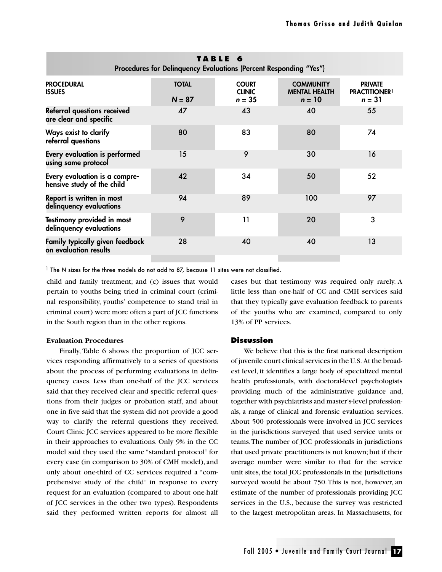| TABLE<br>Procedures for Delinquency Evaluations (Percent Responding "Yes") |                          |                                           |                                                      |                                                    |  |  |  |  |
|----------------------------------------------------------------------------|--------------------------|-------------------------------------------|------------------------------------------------------|----------------------------------------------------|--|--|--|--|
| <b>PROCEDURAL</b><br><b>ISSUES</b>                                         | <b>TOTAL</b><br>$N = 87$ | <b>COURT</b><br><b>CLINIC</b><br>$n = 35$ | <b>COMMUNITY</b><br><b>MENTAL HEALTH</b><br>$n = 10$ | <b>PRIVATE</b><br><b>PRACTITIONER1</b><br>$n = 31$ |  |  |  |  |
| <b>Referral questions received</b><br>are clear and specific               | 47                       | 43                                        | 40                                                   | 55                                                 |  |  |  |  |
| Ways exist to clarify<br>referral questions                                | 80                       | 83                                        | 80                                                   | 74                                                 |  |  |  |  |
| <b>Every evaluation is performed</b><br>using same protocol                | 15                       | 9                                         | 30                                                   | 16                                                 |  |  |  |  |
| Every evaluation is a compre-<br>hensive study of the child                | 42                       | 34                                        | 50                                                   | 52                                                 |  |  |  |  |
| Report is written in most<br>delinquency evaluations                       | 94                       | 89                                        | 100                                                  | 97                                                 |  |  |  |  |
| Testimony provided in most<br>delinquency evaluations                      | 9                        | 11                                        | 20                                                   | 3                                                  |  |  |  |  |
| Family typically given feedback<br>on evaluation results                   | 28                       | 40                                        | 40                                                   | 13                                                 |  |  |  |  |

<sup>1</sup> The N sizes for the three models do not add to 87, because 11 sites were not classified.

child and family treatment; and (c) issues that would pertain to youths being tried in criminal court (criminal responsibility, youths' competence to stand trial in criminal court) were more often a part of JCC functions in the South region than in the other regions.

**Evaluation Procedures**

Finally, Table 6 shows the proportion of JCC services responding affirmatively to a series of questions about the process of performing evaluations in delinquency cases. Less than one-half of the JCC services said that they received clear and specific referral questions from their judges or probation staff, and about one in five said that the system did not provide a good way to clarify the referral questions they received. Court Clinic JCC services appeared to be more flexible in their approaches to evaluations. Only 9% in the CC model said they used the same "standard protocol" for every case (in comparison to 30% of CMH model), and only about one-third of CC services required a "comprehensive study of the child" in response to every request for an evaluation (compared to about one-half of JCC services in the other two types). Respondents said they performed written reports for almost all

cases but that testimony was required only rarely. A little less than one-half of CC and CMH services said that they typically gave evaluation feedback to parents of the youths who are examined, compared to only 13% of PP services.

#### **Discussion**

We believe that this is the first national description of juvenile court clinical services in the U.S. At the broadest level, it identifies a large body of specialized mental health professionals, with doctoral-level psychologists providing much of the administrative guidance and, together with psychiatrists and master's-level professionals, a range of clinical and forensic evaluation services. About 500 professionals were involved in JCC services in the jurisdictions surveyed that used service units or teams. The number of JCC professionals in jurisdictions that used private practitioners is not known; but if their average number were similar to that for the service unit sites, the total JCC professionals in the jurisdictions surveyed would be about 750. This is not, however, an estimate of the number of professionals providing JCC services in the U.S., because the survey was restricted to the largest metropolitan areas. In Massachusetts, for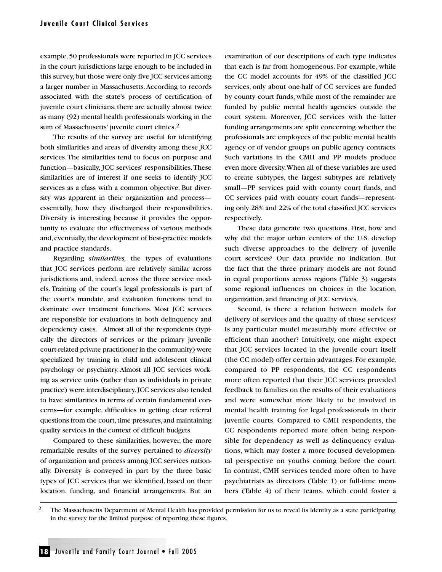example, 50 professionals were reported in JCC services in the court jurisdictions large enough to be included in this survey, but those were only five JCC services among a larger number in Massachusetts. According to records associated with the state's process of certification of juvenile court clinicians, there are actually almost twice as many (92) mental health professionals working in the sum of Massachusetts' juvenile court clinics.2

The results of the survey are useful for identifying both similarities and areas of diversity among these JCC services. The similarities tend to focus on purpose and function—basically, JCC services' responsibilities. These similarities are of interest if one seeks to identify JCC services as a class with a common objective. But diversity was apparent in their organization and process essentially, how they discharged their responsibilities. Diversity is interesting because it provides the opportunity to evaluate the effectiveness of various methods and, eventually, the development of best-practice models and practice standards.

Regarding *similarities,* the types of evaluations that JCC services perform are relatively similar across jurisdictions and, indeed, across the three service models. Training of the court's legal professionals is part of the court's mandate, and evaluation functions tend to dominate over treatment functions. Most JCC services are responsible for evaluations in both delinquency and dependency cases. Almost all of the respondents (typically the directors of services or the primary juvenile court-related private practitioner in the community) were specialized by training in child and adolescent clinical psychology or psychiatry. Almost all JCC services working as service units (rather than as individuals in private practice) were interdisciplinary. JCC services also tended to have similarities in terms of certain fundamental concerns—for example, difficulties in getting clear referral questions from the court, time pressures, and maintaining quality services in the context of difficult budgets.

Compared to these similarities, however, the more remarkable results of the survey pertained to *diversity* of organization and process among JCC services nationally. Diversity is conveyed in part by the three basic types of JCC services that we identified, based on their location, funding, and financial arrangements. But an examination of our descriptions of each type indicates that each is far from homogeneous. For example, while the CC model accounts for 49% of the classified JCC services, only about one-half of CC services are funded by county court funds, while most of the remainder are funded by public mental health agencies outside the court system. Moreover, JCC services with the latter funding arrangements are split concerning whether the professionals are employees of the public mental health agency or of vendor groups on public agency contracts. Such variations in the CMH and PP models produce even more diversity. When all of these variables are used to create subtypes, the largest subtypes are relatively small—PP services paid with county court funds, and CC services paid with county court funds—representing only 28% and 22% of the total classified JCC services respectively.

These data generate two questions. First, how and why did the major urban centers of the U.S. develop such diverse approaches to the delivery of juvenile court services? Our data provide no indication. But the fact that the three primary models are not found in equal proportions across regions (Table 3) suggests some regional influences on choices in the location, organization, and financing of JCC services.

Second, is there a relation between models for delivery of services and the quality of those services? Is any particular model measurably more effective or efficient than another? Intuitively, one might expect that JCC services located in the juvenile court itself (the CC model) offer certain advantages. For example, compared to PP respondents, the CC respondents more often reported that their JCC services provided feedback to families on the results of their evaluations and were somewhat more likely to be involved in mental health training for legal professionals in their juvenile courts. Compared to CMH respondents, the CC respondents reported more often being responsible for dependency as well as delinquency evaluations, which may foster a more focused developmental perspective on youths coming before the court. In contrast, CMH services tended more often to have psychiatrists as directors (Table 1) or full-time members (Table 4) of their teams, which could foster a

 $2$  The Massachusetts Department of Mental Health has provided permission for us to reveal its identity as a state participating in the survey for the limited purpose of reporting these figures.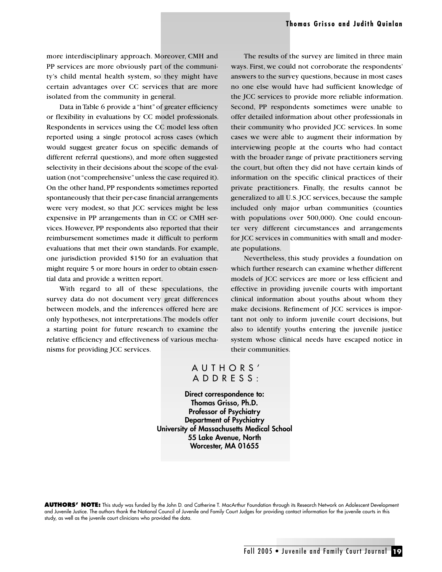more interdisciplinary approach. Moreover, CMH and PP services are more obviously part of the community's child mental health system, so they might have certain advantages over CC services that are more isolated from the community in general.

Data in Table 6 provide a "hint" of greater efficiency or flexibility in evaluations by CC model professionals. Respondents in services using the CC model less often reported using a single protocol across cases (which would suggest greater focus on specific demands of different referral questions), and more often suggested selectivity in their decisions about the scope of the evaluation (not "comprehensive" unless the case required it). On the other hand, PP respondents sometimes reported spontaneously that their per-case financial arrangements were very modest, so that JCC services might be less expensive in PP arrangements than in CC or CMH services. However, PP respondents also reported that their reimbursement sometimes made it difficult to perform evaluations that met their own standards. For example, one jurisdiction provided \$150 for an evaluation that might require 5 or more hours in order to obtain essential data and provide a written report.

With regard to all of these speculations, the survey data do not document very great differences between models, and the inferences offered here are only hypotheses, not interpretations. The models offer a starting point for future research to examine the relative efficiency and effectiveness of various mechanisms for providing JCC services.

The results of the survey are limited in three main ways. First, we could not corroborate the respondents' answers to the survey questions, because in most cases no one else would have had sufficient knowledge of the JCC services to provide more reliable information. Second, PP respondents sometimes were unable to offer detailed information about other professionals in their community who provided JCC services. In some cases we were able to augment their information by interviewing people at the courts who had contact with the broader range of private practitioners serving the court, but often they did not have certain kinds of information on the specific clinical practices of their private practitioners. Finally, the results cannot be generalized to all U.S. JCC services, because the sample included only major urban communities (counties with populations over 500,000). One could encounter very different circumstances and arrangements for JCC services in communities with small and moderate populations.

Nevertheless, this study provides a foundation on which further research can examine whether different models of JCC services are more or less efficient and effective in providing juvenile courts with important clinical information about youths about whom they make decisions. Refinement of JCC services is important not only to inform juvenile court decisions, but also to identify youths entering the juvenile justice system whose clinical needs have escaped notice in their communities.

A U T H O R S ' A D D R E S S :

Direct correspondence to: Thomas Grisso, Ph.D. Professor of Psychiatry Department of Psychiatry University of Massachusetts Medical School 55 Lake Avenue, North Worcester, MA 01655

**AUTHORS' NOTE:** This study was funded by the John D. and Catherine T. MacArthur Foundation through its Research Network on Adolescent Development and Juvenile Justice. The authors thank the National Council of Juvenile and Family Court Judges for providing contact information for the juvenile courts in this study, as well as the juvenile court clinicians who provided the data.